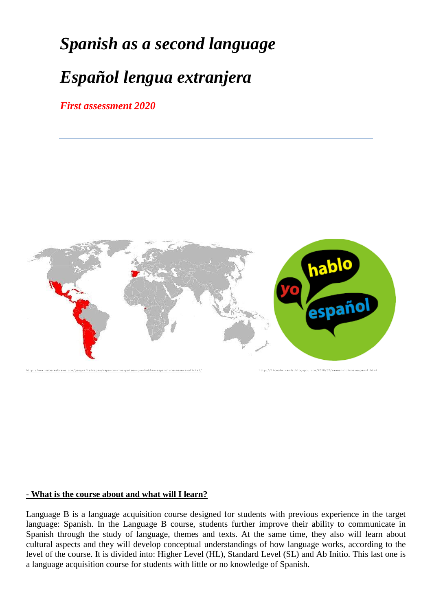# *Spanish as a second language*

# *Español lengua extranjera*

*First assessment 2020*



#### **- What is the course about and what will I learn?**

Language B is a language acquisition course designed for students with previous experience in the target language: Spanish. In the Language B course, students further improve their ability to communicate in Spanish through the study of language, themes and texts. At the same time, they also will learn about cultural aspects and they will develop conceptual understandings of how language works, according to the level of the course. It is divided into: Higher Level (HL), Standard Level (SL) and Ab Initio. This last one is a language acquisition course for students with little or no knowledge of Spanish.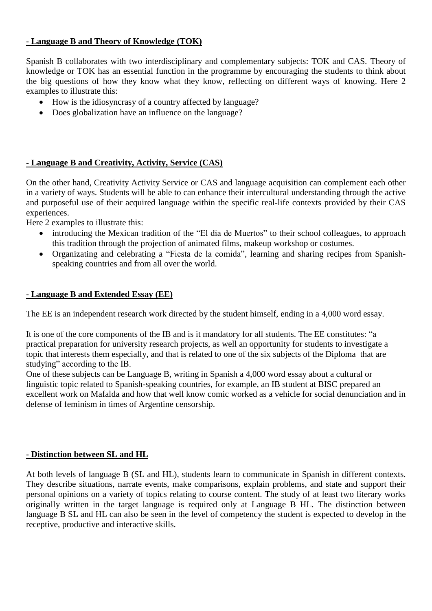## **- Language B and Theory of Knowledge (TOK)**

Spanish B collaborates with two interdisciplinary and complementary subjects: TOK and CAS. Theory of knowledge or TOK has an essential function in the programme by encouraging the students to think about the big questions of how they know what they know, reflecting on different ways of knowing. Here 2 examples to illustrate this:

- How is the idiosyncrasy of a country affected by language?
- Does globalization have an influence on the language?

# **- Language B and Creativity, Activity, Service (CAS)**

On the other hand, Creativity Activity Service or CAS and language acquisition can complement each other in a variety of ways. Students will be able to can enhance their intercultural understanding through the active and purposeful use of their acquired language within the specific real-life contexts provided by their CAS experiences.

Here 2 examples to illustrate this:

- introducing the Mexican tradition of the "El dia de Muertos" to their school colleagues, to approach this tradition through the projection of animated films, makeup workshop or costumes.
- Organizating and celebrating a "Fiesta de la comida", learning and sharing recipes from Spanishspeaking countries and from all over the world.

## **- Language B and Extended Essay (EE)**

The EE is an independent research work directed by the student himself, ending in a 4,000 word essay.

It is one of the core components of the IB and is it mandatory for all students. The EE constitutes: "a practical preparation for university research projects, as well an opportunity for students to investigate a topic that interests them especially, and that is related to one of the six subjects of the Diploma that are studying" according to the IB.

One of these subjects can be Language B, writing in Spanish a 4,000 word essay about a cultural or linguistic topic related to Spanish-speaking countries, for example, an IB student at BISC prepared an excellent work on Mafalda and how that well know comic worked as a vehicle for social denunciation and in defense of feminism in times of Argentine censorship.

#### **- Distinction between SL and HL**

At both levels of language B (SL and HL), students learn to communicate in Spanish in different contexts. They describe situations, narrate events, make comparisons, explain problems, and state and support their personal opinions on a variety of topics relating to course content. The study of at least two literary works originally written in the target language is required only at Language B HL. The distinction between language B SL and HL can also be seen in the level of competency the student is expected to develop in the receptive, productive and interactive skills.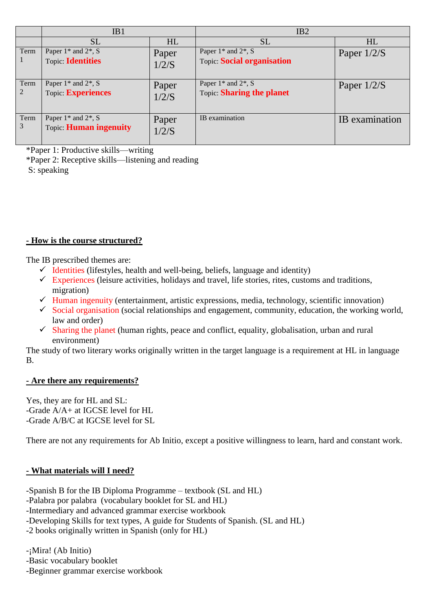|           | IB1                                                                         |                | IB2                                                                                  |                |
|-----------|-----------------------------------------------------------------------------|----------------|--------------------------------------------------------------------------------------|----------------|
|           | SL                                                                          | HL             | <b>SL</b>                                                                            | HL             |
| Term      | Paper $1$ <sup>*</sup> and $2$ <sup>*</sup> , S<br><b>Topic: Identities</b> | Paper<br>1/2/S | Paper $1$ <sup>*</sup> and $2$ <sup>*</sup> , S<br><b>Topic: Social organisation</b> | Paper $1/2/S$  |
| Term<br>2 | Paper $1^*$ and $2^*$ , S<br>Topic: Experiences                             | Paper<br>1/2/S | Paper $1^*$ and $2^*$ , S<br><b>Topic Sharing the planet</b>                         | Paper $1/2/S$  |
| Term<br>3 | Paper $1^*$ and $2^*$ , S<br><b>Topic: Human ingenuity</b>                  | Paper<br>1/2/S | IB examination                                                                       | IB examination |

\*Paper 1: Productive skills—writing

\*Paper 2: Receptive skills—listening and reading

S: speaking

# **- How is the course structured?**

The IB prescribed themes are:

- $\checkmark$  Identities (lifestyles, health and well-being, beliefs, language and identity)
- $\checkmark$  Experiences (leisure activities, holidays and travel, life stories, rites, customs and traditions, migration)
- $\checkmark$  Human ingenuity (entertainment, artistic expressions, media, technology, scientific innovation)
- $\checkmark$  Social organisation (social relationships and engagement, community, education, the working world, law and order)
- $\checkmark$  Sharing the planet (human rights, peace and conflict, equality, globalisation, urban and rural environment)

The study of two literary works originally written in the target language is a requirement at HL in language B.

#### **- Are there any requirements?**

Yes, they are for HL and SL: -Grade A/A+ at IGCSE level for HL -Grade A/B/C at IGCSE level for SL

There are not any requirements for Ab Initio, except a positive willingness to learn, hard and constant work.

# **- What materials will I need?**

-Spanish B for the IB Diploma Programme – textbook (SL and HL) -Palabra por palabra (vocabulary booklet for SL and HL) -Intermediary and advanced grammar exercise workbook -Developing Skills for text types, A guide for Students of Spanish. (SL and HL) -2 books originally written in Spanish (only for HL)

-¡Mira! (Ab Initio)

-Basic vocabulary booklet

-Beginner grammar exercise workbook